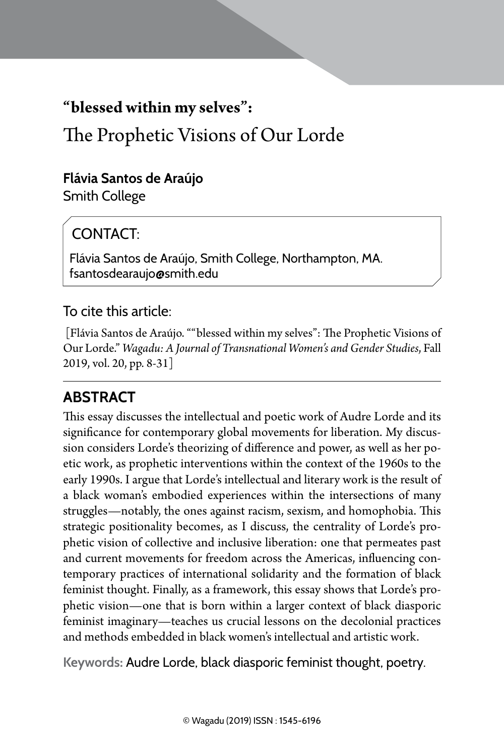## **"blessed within my selves":**

# The Prophetic Visions of Our Lorde

#### **Flávia Santos de Araújo**

Smith College

## CONTACT<sup>.</sup>

Flávia Santos de Araújo, Smith College, Northampton, MA. fsantosdearaujo@smith.edu

#### To cite this article:

 [Flávia Santos de Araújo. ""blessed within my selves": The Prophetic Visions of Our Lorde." *Wagadu: A Journal of Transnational Women's and Gender Studies*, Fall 2019, vol. 20, pp. 8-31]

## **Abstract**

This essay discusses the intellectual and poetic work of Audre Lorde and its significance for contemporary global movements for liberation. My discussion considers Lorde's theorizing of difference and power, as well as her poetic work, as prophetic interventions within the context of the 1960s to the early 1990s. I argue that Lorde's intellectual and literary work is the result of a black woman's embodied experiences within the intersections of many struggles—notably, the ones against racism, sexism, and homophobia. This strategic positionality becomes, as I discuss, the centrality of Lorde's prophetic vision of collective and inclusive liberation: one that permeates past and current movements for freedom across the Americas, influencing contemporary practices of international solidarity and the formation of black feminist thought. Finally, as a framework, this essay shows that Lorde's prophetic vision—one that is born within a larger context of black diasporic feminist imaginary—teaches us crucial lessons on the decolonial practices and methods embedded in black women's intellectual and artistic work.

**Keywords:** Audre Lorde, black diasporic feminist thought, poetry.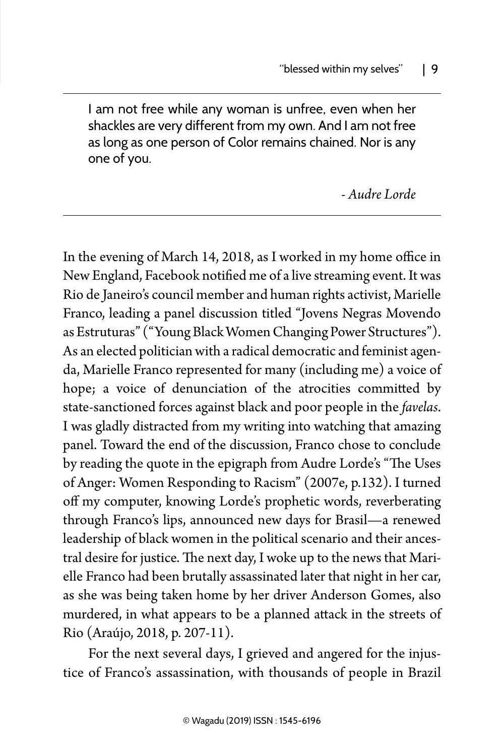I am not free while any woman is unfree, even when her shackles are very different from my own. And I am not free as long as one person of Color remains chained. Nor is any one of you.

*- Audre Lorde*

In the evening of March 14, 2018, as I worked in my home office in New England, Facebook notified me of a live streaming event. It was Rio de Janeiro's council member and human rights activist, Marielle Franco, leading a panel discussion titled "Jovens Negras Movendo as Estruturas" ("Young Black Women Changing Power Structures"). As an elected politician with a radical democratic and feminist agenda, Marielle Franco represented for many (including me) a voice of hope; a voice of denunciation of the atrocities committed by state-sanctioned forces against black and poor people in the *favelas*. I was gladly distracted from my writing into watching that amazing panel. Toward the end of the discussion, Franco chose to conclude by reading the quote in the epigraph from Audre Lorde's "The Uses of Anger: Women Responding to Racism" (2007e, p.132). I turned off my computer, knowing Lorde's prophetic words, reverberating through Franco's lips, announced new days for Brasil—a renewed leadership of black women in the political scenario and their ancestral desire for justice. The next day, I woke up to the news that Marielle Franco had been brutally assassinated later that night in her car, as she was being taken home by her driver Anderson Gomes, also murdered, in what appears to be a planned attack in the streets of Rio (Araújo, 2018, p. 207-11).

For the next several days, I grieved and angered for the injustice of Franco's assassination, with thousands of people in Brazil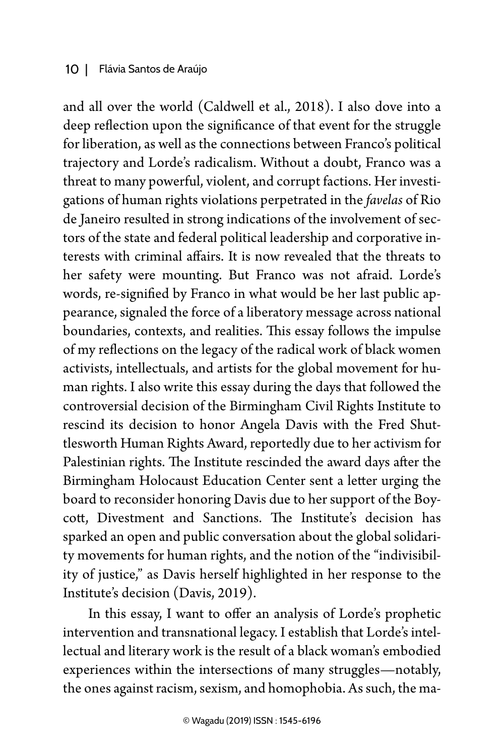#### 10 | Flávia Santos de Araújo

and all over the world (Caldwell et al., 2018). I also dove into a deep reflection upon the significance of that event for the struggle for liberation, as well as the connections between Franco's political trajectory and Lorde's radicalism. Without a doubt, Franco was a threat to many powerful, violent, and corrupt factions. Her investigations of human rights violations perpetrated in the *favelas* of Rio de Janeiro resulted in strong indications of the involvement of sectors of the state and federal political leadership and corporative interests with criminal affairs. It is now revealed that the threats to her safety were mounting. But Franco was not afraid. Lorde's words, re-signified by Franco in what would be her last public appearance, signaled the force of a liberatory message across national boundaries, contexts, and realities. This essay follows the impulse of my reflections on the legacy of the radical work of black women activists, intellectuals, and artists for the global movement for human rights. I also write this essay during the days that followed the controversial decision of the Birmingham Civil Rights Institute to rescind its decision to honor Angela Davis with the Fred Shuttlesworth Human Rights Award, reportedly due to her activism for Palestinian rights. The Institute rescinded the award days after the Birmingham Holocaust Education Center sent a letter urging the board to reconsider honoring Davis due to her support of the Boycott, Divestment and Sanctions. The Institute's decision has sparked an open and public conversation about the global solidarity movements for human rights, and the notion of the "indivisibility of justice," as Davis herself highlighted in her response to the Institute's decision (Davis, 2019).

In this essay, I want to offer an analysis of Lorde's prophetic intervention and transnational legacy. I establish that Lorde's intellectual and literary work is the result of a black woman's embodied experiences within the intersections of many struggles—notably, the ones against racism, sexism, and homophobia. As such, the ma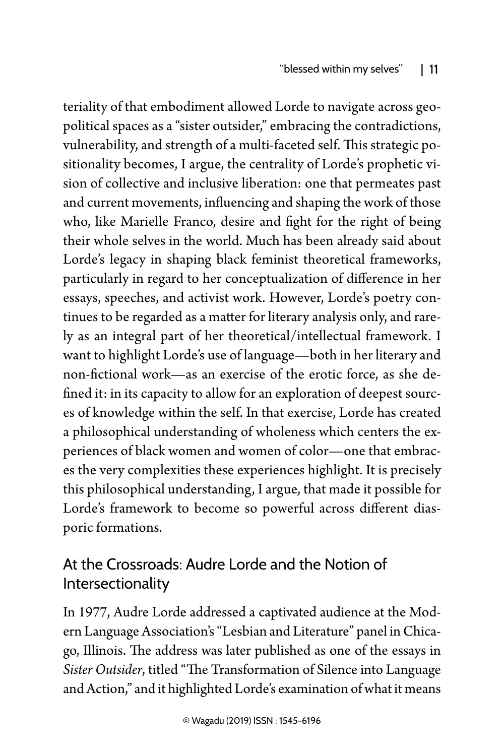teriality of that embodiment allowed Lorde to navigate across geopolitical spaces as a "sister outsider," embracing the contradictions, vulnerability, and strength of a multi-faceted self. This strategic positionality becomes, I argue, the centrality of Lorde's prophetic vision of collective and inclusive liberation: one that permeates past and current movements, influencing and shaping the work of those who, like Marielle Franco, desire and fight for the right of being their whole selves in the world. Much has been already said about Lorde's legacy in shaping black feminist theoretical frameworks, particularly in regard to her conceptualization of difference in her essays, speeches, and activist work. However, Lorde's poetry continues to be regarded as a matter for literary analysis only, and rarely as an integral part of her theoretical/intellectual framework. I want to highlight Lorde's use of language—both in her literary and non-fictional work—as an exercise of the erotic force, as she defined it: in its capacity to allow for an exploration of deepest sources of knowledge within the self. In that exercise, Lorde has created a philosophical understanding of wholeness which centers the experiences of black women and women of color—one that embraces the very complexities these experiences highlight. It is precisely this philosophical understanding, I argue, that made it possible for Lorde's framework to become so powerful across different diasporic formations.

## At the Crossroads: Audre Lorde and the Notion of Intersectionality

In 1977, Audre Lorde addressed a captivated audience at the Modern Language Association's "Lesbian and Literature" panel in Chicago, Illinois. The address was later published as one of the essays in *Sister Outsider*, titled "The Transformation of Silence into Language and Action," and it highlighted Lorde's examination of what it means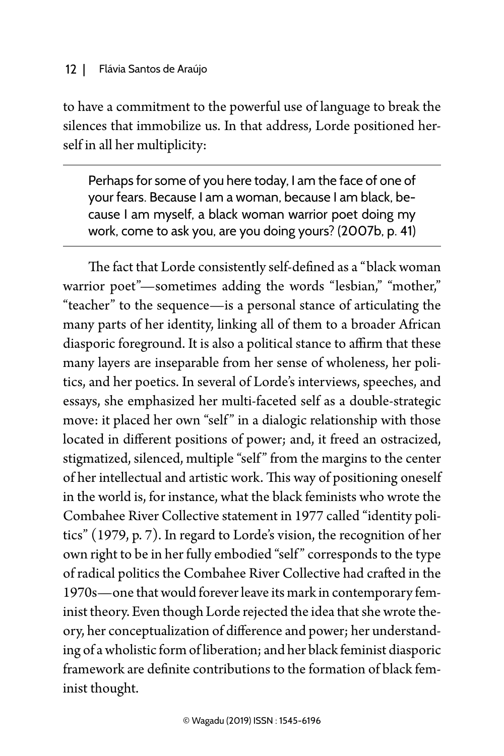#### 12 | Flávia Santos de Araújo

to have a commitment to the powerful use of language to break the silences that immobilize us. In that address, Lorde positioned herself in all her multiplicity:

Perhaps for some of you here today, I am the face of one of your fears. Because I am a woman, because I am black, because I am myself, a black woman warrior poet doing my work, come to ask you, are you doing yours? (2007b, p. 41)

The fact that Lorde consistently self-defined as a "black woman warrior poet"-sometimes adding the words "lesbian," "mother," "teacher" to the sequence—is a personal stance of articulating the many parts of her identity, linking all of them to a broader African diasporic foreground. It is also a political stance to affirm that these many layers are inseparable from her sense of wholeness, her politics, and her poetics. In several of Lorde's interviews, speeches, and essays, she emphasized her multi-faceted self as a double-strategic move: it placed her own "self" in a dialogic relationship with those located in different positions of power; and, it freed an ostracized, stigmatized, silenced, multiple "self" from the margins to the center of her intellectual and artistic work. This way of positioning oneself in the world is, for instance, what the black feminists who wrote the Combahee River Collective statement in 1977 called "identity politics" (1979, p. 7). In regard to Lorde's vision, the recognition of her own right to be in her fully embodied "self " corresponds to the type of radical politics the Combahee River Collective had crafted in the 1970s—one that would forever leave its mark in contemporary feminist theory. Even though Lorde rejected the idea that she wrote theory, her conceptualization of difference and power; her understanding of a wholistic form of liberation; and her black feminist diasporic framework are definite contributions to the formation of black feminist thought.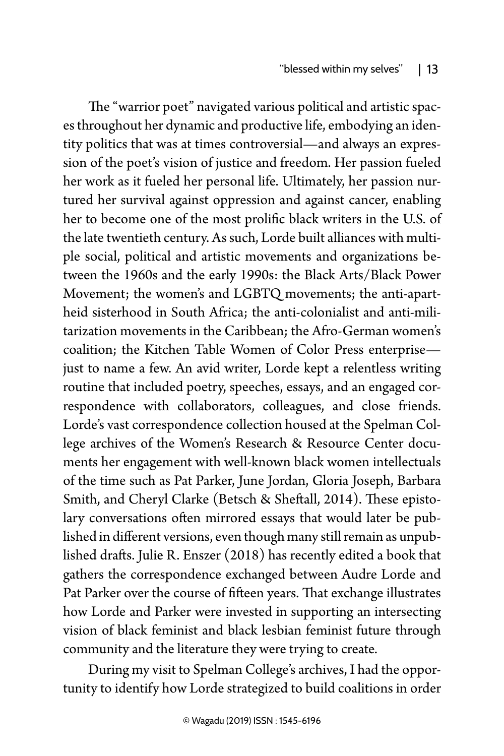The "warrior poet" navigated various political and artistic spaces throughout her dynamic and productive life, embodying an identity politics that was at times controversial—and always an expression of the poet's vision of justice and freedom. Her passion fueled her work as it fueled her personal life. Ultimately, her passion nurtured her survival against oppression and against cancer, enabling her to become one of the most prolific black writers in the U.S. of the late twentieth century. As such, Lorde built alliances with multiple social, political and artistic movements and organizations between the 1960s and the early 1990s: the Black Arts/Black Power Movement; the women's and LGBTQ movements; the anti-apartheid sisterhood in South Africa; the anti-colonialist and anti-militarization movements in the Caribbean; the Afro-German women's coalition; the Kitchen Table Women of Color Press enterprise just to name a few. An avid writer, Lorde kept a relentless writing routine that included poetry, speeches, essays, and an engaged correspondence with collaborators, colleagues, and close friends. Lorde's vast correspondence collection housed at the Spelman College archives of the Women's Research & Resource Center documents her engagement with well-known black women intellectuals of the time such as Pat Parker, June Jordan, Gloria Joseph, Barbara Smith, and Cheryl Clarke (Betsch & Sheftall, 2014). These epistolary conversations often mirrored essays that would later be published in different versions, even though many still remain as unpublished drafts. Julie R. Enszer (2018) has recently edited a book that gathers the correspondence exchanged between Audre Lorde and Pat Parker over the course of fifteen years. That exchange illustrates how Lorde and Parker were invested in supporting an intersecting vision of black feminist and black lesbian feminist future through community and the literature they were trying to create.

During my visit to Spelman College's archives, I had the opportunity to identify how Lorde strategized to build coalitions in order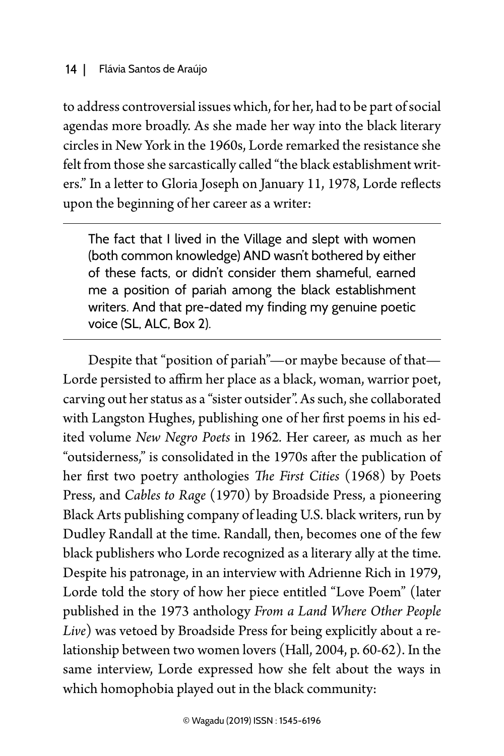#### 14 | Flávia Santos de Araújo

to address controversial issues which, for her, had to be part of social agendas more broadly. As she made her way into the black literary circles in New York in the 1960s, Lorde remarked the resistance she felt from those she sarcastically called "the black establishment writers." In a letter to Gloria Joseph on January 11, 1978, Lorde reflects upon the beginning of her career as a writer:

The fact that I lived in the Village and slept with women (both common knowledge) AND wasn't bothered by either of these facts, or didn't consider them shameful, earned me a position of pariah among the black establishment writers. And that pre-dated my finding my genuine poetic voice (SL, ALC, Box 2).

Despite that "position of pariah"—or maybe because of that— Lorde persisted to affirm her place as a black, woman, warrior poet, carving out her status as a "sister outsider". As such, she collaborated with Langston Hughes, publishing one of her first poems in his edited volume *New Negro Poets* in 1962*.* Her career, as much as her "outsiderness," is consolidated in the 1970s after the publication of her first two poetry anthologies *The First Cities* (1968) by Poets Press, and *Cables to Rage* (1970) by Broadside Press, a pioneering Black Arts publishing company of leading U.S. black writers, run by Dudley Randall at the time. Randall, then, becomes one of the few black publishers who Lorde recognized as a literary ally at the time. Despite his patronage, in an interview with Adrienne Rich in 1979, Lorde told the story of how her piece entitled "Love Poem" (later published in the 1973 anthology *From a Land Where Other People Live*) was vetoed by Broadside Press for being explicitly about a relationship between two women lovers (Hall, 2004, p. 60-62). In the same interview, Lorde expressed how she felt about the ways in which homophobia played out in the black community: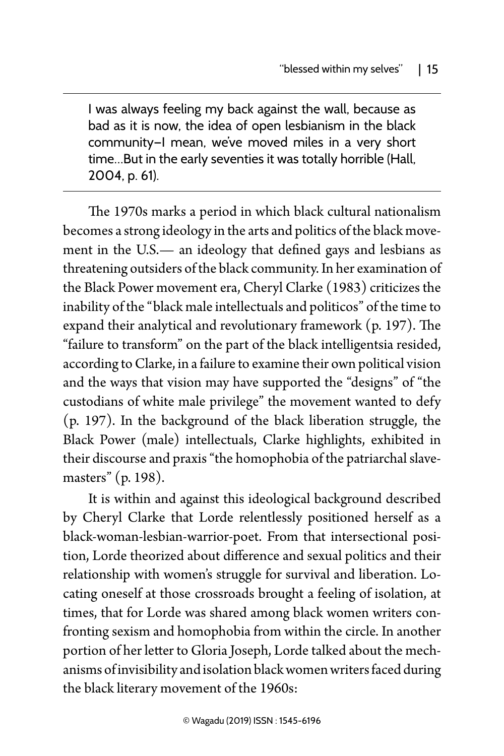I was always feeling my back against the wall, because as bad as it is now, the idea of open lesbianism in the black community—I mean, we've moved miles in a very short time…But in the early seventies it was totally horrible (Hall, 2004, p. 61).

The 1970s marks a period in which black cultural nationalism becomes a strong ideology in the arts and politics of the black movement in the U.S.— an ideology that defined gays and lesbians as threatening outsiders of the black community. In her examination of the Black Power movement era, Cheryl Clarke (1983) criticizes the inability of the "black male intellectuals and politicos" of the time to expand their analytical and revolutionary framework (p. 197). The "failure to transform" on the part of the black intelligentsia resided, according to Clarke, in a failure to examine their own political vision and the ways that vision may have supported the "designs" of "the custodians of white male privilege" the movement wanted to defy (p. 197). In the background of the black liberation struggle, the Black Power (male) intellectuals, Clarke highlights, exhibited in their discourse and praxis "the homophobia of the patriarchal slavemasters" (p. 198).

It is within and against this ideological background described by Cheryl Clarke that Lorde relentlessly positioned herself as a black-woman-lesbian-warrior-poet. From that intersectional position, Lorde theorized about difference and sexual politics and their relationship with women's struggle for survival and liberation. Locating oneself at those crossroads brought a feeling of isolation, at times, that for Lorde was shared among black women writers confronting sexism and homophobia from within the circle. In another portion of her letter to Gloria Joseph, Lorde talked about the mechanisms of invisibility and isolation black women writers faced during the black literary movement of the 1960s: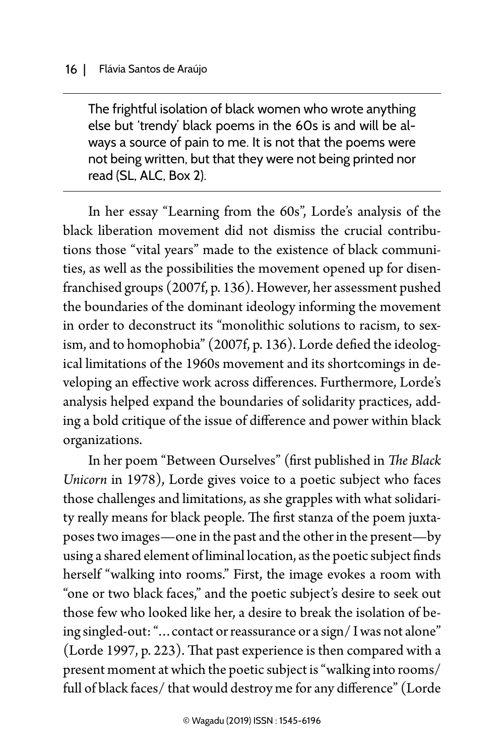The frightful isolation of black women who wrote anything else but 'trendy' black poems in the 60s is and will be always a source of pain to me. It is not that the poems were not being written, but that they were not being printed nor read (SL, ALC, Box 2).

In her essay "Learning from the 60s", Lorde's analysis of the black liberation movement did not dismiss the crucial contributions those "vital years" made to the existence of black communities, as well as the possibilities the movement opened up for disenfranchised groups (2007f, p. 136). However, her assessment pushed the boundaries of the dominant ideology informing the movement in order to deconstruct its "monolithic solutions to racism, to sexism, and to homophobia" (2007f, p. 136). Lorde defied the ideological limitations of the 1960s movement and its shortcomings in developing an effective work across differences. Furthermore, Lorde's analysis helped expand the boundaries of solidarity practices, adding a bold critique of the issue of difference and power within black organizations.

In her poem "Between Ourselves" (first published in *The Black Unicorn* in 1978), Lorde gives voice to a poetic subject who faces those challenges and limitations, as she grapples with what solidarity really means for black people. The first stanza of the poem juxtaposes two images—one in the past and the other in the present—by using a shared element of liminal location, as the poetic subject finds herself "walking into rooms." First, the image evokes a room with "one or two black faces," and the poetic subject's desire to seek out those few who looked like her, a desire to break the isolation of being singled-out: "…contact or reassurance or a sign/ I was not alone" (Lorde 1997, p. 223). That past experience is then compared with a present moment at which the poetic subject is "walking into rooms/ full of black faces/ that would destroy me for any difference" (Lorde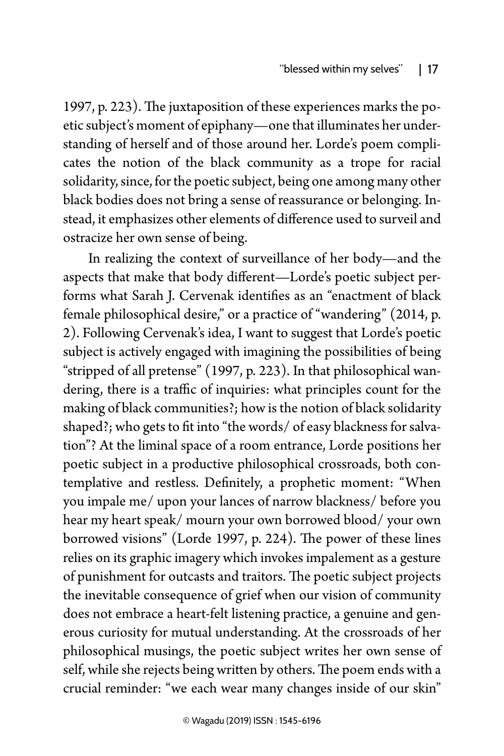1997, p. 223). The juxtaposition of these experiences marks the poetic subject's moment of epiphany—one that illuminates her understanding of herself and of those around her. Lorde's poem complicates the notion of the black community as a trope for racial solidarity, since, for the poetic subject, being one among many other black bodies does not bring a sense of reassurance or belonging. Instead, it emphasizes other elements of difference used to surveil and ostracize her own sense of being.

In realizing the context of surveillance of her body—and the aspects that make that body different—Lorde's poetic subject performs what Sarah J. Cervenak identifies as an "enactment of black female philosophical desire," or a practice of "wandering" (2014, p. 2). Following Cervenak's idea, I want to suggest that Lorde's poetic subject is actively engaged with imagining the possibilities of being "stripped of all pretense" (1997, p. 223). In that philosophical wandering, there is a traffic of inquiries: what principles count for the making of black communities?; how is the notion of black solidarity shaped?; who gets to fit into "the words/ of easy blackness for salvation"? At the liminal space of a room entrance, Lorde positions her poetic subject in a productive philosophical crossroads, both contemplative and restless. Definitely, a prophetic moment: "When you impale me/ upon your lances of narrow blackness/ before you hear my heart speak/ mourn your own borrowed blood/ your own borrowed visions" (Lorde 1997, p. 224). The power of these lines relies on its graphic imagery which invokes impalement as a gesture of punishment for outcasts and traitors. The poetic subject projects the inevitable consequence of grief when our vision of community does not embrace a heart-felt listening practice, a genuine and generous curiosity for mutual understanding. At the crossroads of her philosophical musings, the poetic subject writes her own sense of self, while she rejects being written by others. The poem ends with a crucial reminder: "we each wear many changes inside of our skin"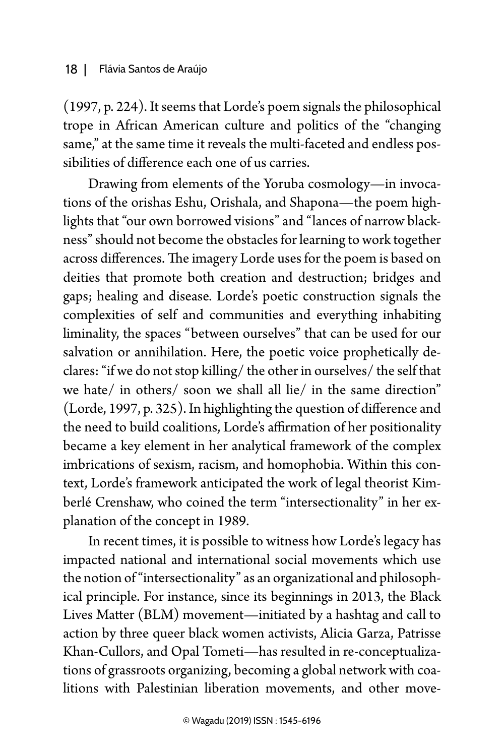(1997, p. 224). It seems that Lorde's poem signals the philosophical trope in African American culture and politics of the "changing same," at the same time it reveals the multi-faceted and endless possibilities of difference each one of us carries.

Drawing from elements of the Yoruba cosmology—in invocations of the orishas Eshu, Orishala, and Shapona—the poem highlights that "our own borrowed visions" and "lances of narrow blackness" should not become the obstacles for learning to work together across differences. The imagery Lorde uses for the poem is based on deities that promote both creation and destruction; bridges and gaps; healing and disease. Lorde's poetic construction signals the complexities of self and communities and everything inhabiting liminality, the spaces "between ourselves" that can be used for our salvation or annihilation. Here, the poetic voice prophetically declares: "if we do not stop killing/ the other in ourselves/ the self that we hate/ in others/ soon we shall all lie/ in the same direction" (Lorde, 1997, p. 325). In highlighting the question of difference and the need to build coalitions, Lorde's affirmation of her positionality became a key element in her analytical framework of the complex imbrications of sexism, racism, and homophobia. Within this context, Lorde's framework anticipated the work of legal theorist Kimberlé Crenshaw, who coined the term "intersectionality" in her explanation of the concept in 1989.

In recent times, it is possible to witness how Lorde's legacy has impacted national and international social movements which use the notion of "intersectionality" as an organizational and philosophical principle. For instance, since its beginnings in 2013, the Black Lives Matter (BLM) movement—initiated by a hashtag and call to action by three queer black women activists, Alicia Garza, Patrisse Khan-Cullors, and Opal Tometi—has resulted in re-conceptualizations of grassroots organizing, becoming a global network with coalitions with Palestinian liberation movements, and other move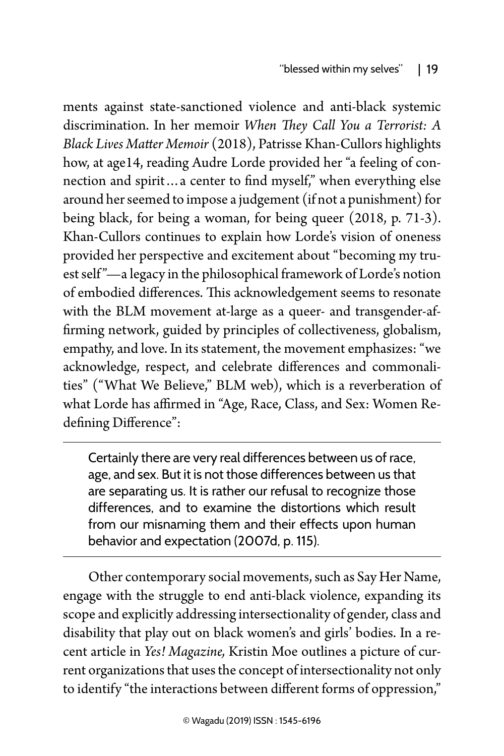ments against state-sanctioned violence and anti-black systemic discrimination. In her memoir *When They Call You a Terrorist: A Black Lives Matter Memoir* (2018), Patrisse Khan-Cullors highlights how, at age14, reading Audre Lorde provided her "a feeling of connection and spirit…a center to find myself," when everything else around her seemed to impose a judgement (if not a punishment) for being black, for being a woman, for being queer (2018, p. 71-3). Khan-Cullors continues to explain how Lorde's vision of oneness provided her perspective and excitement about "becoming my truest self "—a legacy in the philosophical framework of Lorde's notion of embodied differences. This acknowledgement seems to resonate with the BLM movement at-large as a queer- and transgender-affirming network, guided by principles of collectiveness, globalism, empathy, and love. In its statement, the movement emphasizes: "we acknowledge, respect, and celebrate differences and commonalities" ("What We Believe," BLM web), which is a reverberation of what Lorde has affirmed in "Age, Race, Class, and Sex: Women Redefining Difference":

Certainly there are very real differences between us of race, age, and sex. But it is not those differences between us that are separating us. It is rather our refusal to recognize those differences, and to examine the distortions which result from our misnaming them and their effects upon human behavior and expectation (2007d, p. 115).

Other contemporary social movements, such as Say Her Name, engage with the struggle to end anti-black violence, expanding its scope and explicitly addressing intersectionality of gender, class and disability that play out on black women's and girls' bodies. In a recent article in *Yes! Magazine,* Kristin Moe outlines a picture of current organizations that uses the concept of intersectionality not only to identify "the interactions between different forms of oppression,"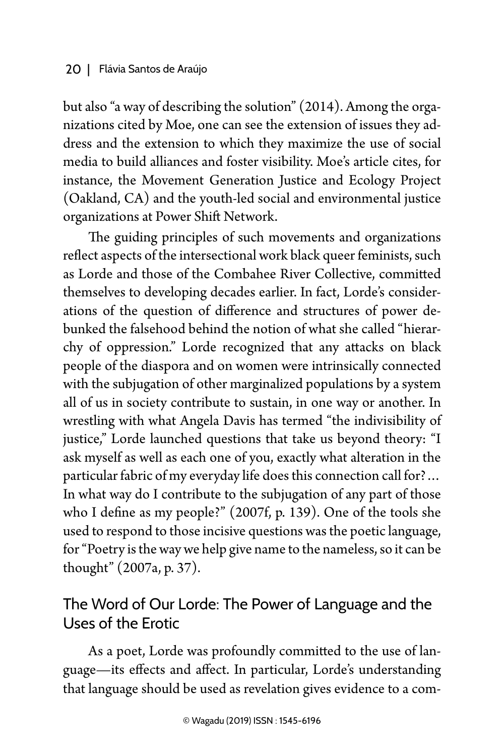but also "a way of describing the solution" (2014). Among the organizations cited by Moe, one can see the extension of issues they address and the extension to which they maximize the use of social media to build alliances and foster visibility. Moe's article cites, for instance, the Movement Generation Justice and Ecology Project (Oakland, CA) and the youth-led social and environmental justice organizations at Power Shift Network.

The guiding principles of such movements and organizations reflect aspects of the intersectional work black queer feminists, such as Lorde and those of the Combahee River Collective, committed themselves to developing decades earlier. In fact, Lorde's considerations of the question of difference and structures of power debunked the falsehood behind the notion of what she called "hierarchy of oppression." Lorde recognized that any attacks on black people of the diaspora and on women were intrinsically connected with the subjugation of other marginalized populations by a system all of us in society contribute to sustain, in one way or another. In wrestling with what Angela Davis has termed "the indivisibility of justice," Lorde launched questions that take us beyond theory: "I ask myself as well as each one of you, exactly what alteration in the particular fabric of my everyday life does this connection call for?… In what way do I contribute to the subjugation of any part of those who I define as my people?" (2007f, p. 139). One of the tools she used to respond to those incisive questions was the poetic language, for "Poetry is the way we help give name to the nameless, so it can be thought" (2007a, p. 37).

## The Word of Our Lorde: The Power of Language and the Uses of the Erotic

As a poet, Lorde was profoundly committed to the use of language—its effects and affect. In particular, Lorde's understanding that language should be used as revelation gives evidence to a com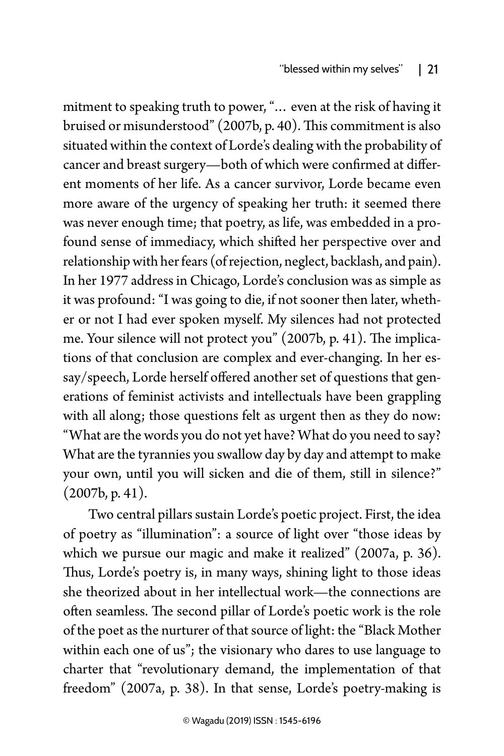mitment to speaking truth to power, "… even at the risk of having it bruised or misunderstood" (2007b, p. 40). This commitment is also situated within the context of Lorde's dealing with the probability of cancer and breast surgery—both of which were confirmed at different moments of her life. As a cancer survivor, Lorde became even more aware of the urgency of speaking her truth: it seemed there was never enough time; that poetry, as life, was embedded in a profound sense of immediacy, which shifted her perspective over and relationship with her fears (of rejection, neglect, backlash, and pain). In her 1977 address in Chicago, Lorde's conclusion was as simple as it was profound: "I was going to die, if not sooner then later, whether or not I had ever spoken myself. My silences had not protected me. Your silence will not protect you" (2007b, p. 41). The implications of that conclusion are complex and ever-changing. In her essay/speech, Lorde herself offered another set of questions that generations of feminist activists and intellectuals have been grappling with all along; those questions felt as urgent then as they do now: "What are the words you do not yet have? What do you need to say? What are the tyrannies you swallow day by day and attempt to make your own, until you will sicken and die of them, still in silence?"  $(2007b, p. 41)$ .

Two central pillars sustain Lorde's poetic project. First, the idea of poetry as "illumination": a source of light over "those ideas by which we pursue our magic and make it realized" (2007a, p. 36). Thus, Lorde's poetry is, in many ways, shining light to those ideas she theorized about in her intellectual work—the connections are often seamless. The second pillar of Lorde's poetic work is the role of the poet as the nurturer of that source of light: the "Black Mother within each one of us"; the visionary who dares to use language to charter that "revolutionary demand, the implementation of that freedom" (2007a, p. 38). In that sense, Lorde's poetry-making is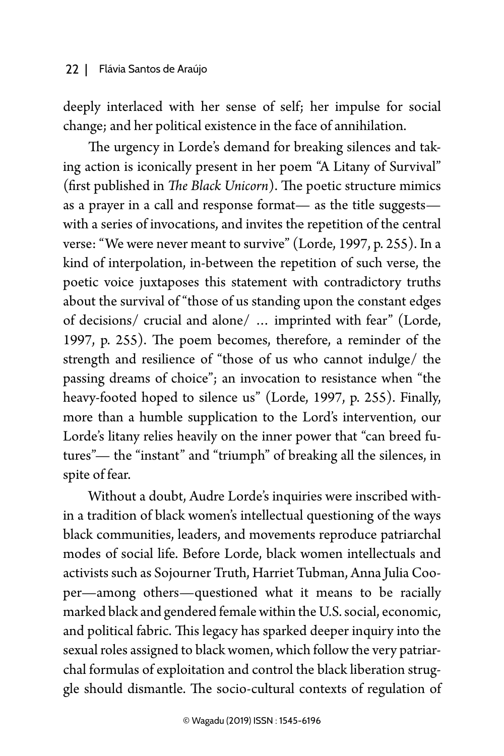deeply interlaced with her sense of self; her impulse for social change; and her political existence in the face of annihilation.

The urgency in Lorde's demand for breaking silences and taking action is iconically present in her poem "A Litany of Survival" (first published in *The Black Unicorn*). The poetic structure mimics as a prayer in a call and response format— as the title suggests with a series of invocations, and invites the repetition of the central verse: "We were never meant to survive" (Lorde, 1997, p. 255). In a kind of interpolation, in-between the repetition of such verse, the poetic voice juxtaposes this statement with contradictory truths about the survival of "those of us standing upon the constant edges of decisions/ crucial and alone/ … imprinted with fear" (Lorde, 1997, p. 255). The poem becomes, therefore, a reminder of the strength and resilience of "those of us who cannot indulge/ the passing dreams of choice"; an invocation to resistance when "the heavy-footed hoped to silence us" (Lorde, 1997, p. 255). Finally, more than a humble supplication to the Lord's intervention, our Lorde's litany relies heavily on the inner power that "can breed futures"— the "instant" and "triumph" of breaking all the silences, in spite of fear.

Without a doubt, Audre Lorde's inquiries were inscribed within a tradition of black women's intellectual questioning of the ways black communities, leaders, and movements reproduce patriarchal modes of social life. Before Lorde, black women intellectuals and activists such as Sojourner Truth, Harriet Tubman, Anna Julia Cooper—among others—questioned what it means to be racially marked black and gendered female within the U.S. social, economic, and political fabric. This legacy has sparked deeper inquiry into the sexual roles assigned to black women, which follow the very patriarchal formulas of exploitation and control the black liberation struggle should dismantle. The socio-cultural contexts of regulation of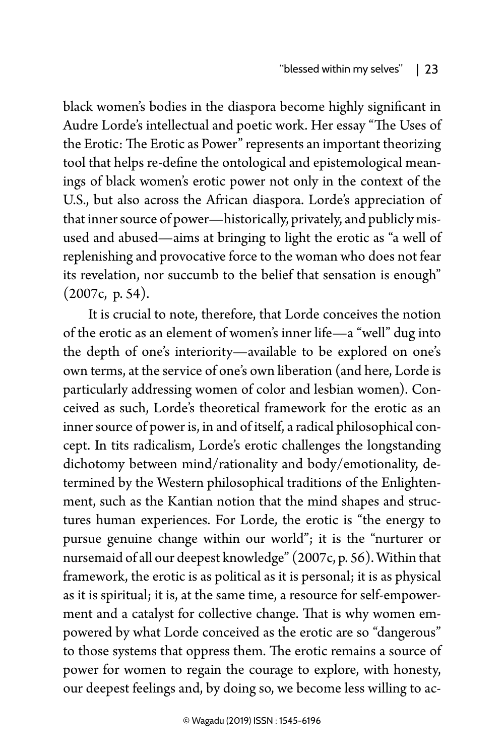black women's bodies in the diaspora become highly significant in Audre Lorde's intellectual and poetic work. Her essay "The Uses of the Erotic: The Erotic as Power" represents an important theorizing tool that helps re-define the ontological and epistemological meanings of black women's erotic power not only in the context of the U.S., but also across the African diaspora. Lorde's appreciation of that inner source of power—historically, privately, and publicly misused and abused—aims at bringing to light the erotic as "a well of replenishing and provocative force to the woman who does not fear its revelation, nor succumb to the belief that sensation is enough" (2007c, p. 54).

It is crucial to note, therefore, that Lorde conceives the notion of the erotic as an element of women's inner life—a "well" dug into the depth of one's interiority—available to be explored on one's own terms, at the service of one's own liberation (and here, Lorde is particularly addressing women of color and lesbian women). Conceived as such, Lorde's theoretical framework for the erotic as an inner source of power is, in and of itself, a radical philosophical concept. In tits radicalism, Lorde's erotic challenges the longstanding dichotomy between mind/rationality and body/emotionality, determined by the Western philosophical traditions of the Enlightenment, such as the Kantian notion that the mind shapes and structures human experiences. For Lorde, the erotic is "the energy to pursue genuine change within our world"; it is the "nurturer or nursemaid of all our deepest knowledge" (2007c, p. 56). Within that framework, the erotic is as political as it is personal; it is as physical as it is spiritual; it is, at the same time, a resource for self-empowerment and a catalyst for collective change. That is why women empowered by what Lorde conceived as the erotic are so "dangerous" to those systems that oppress them. The erotic remains a source of power for women to regain the courage to explore, with honesty, our deepest feelings and, by doing so, we become less willing to ac-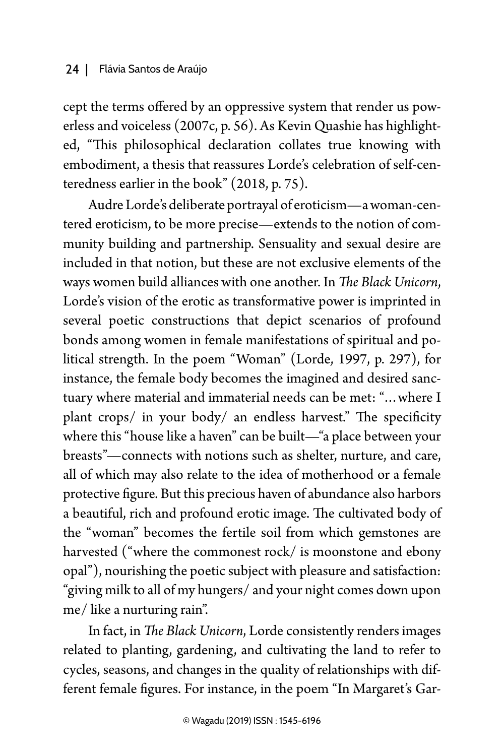cept the terms offered by an oppressive system that render us powerless and voiceless (2007c, p. 56). As Kevin Quashie has highlighted, "This philosophical declaration collates true knowing with embodiment, a thesis that reassures Lorde's celebration of self-centeredness earlier in the book" (2018, p. 75).

Audre Lorde's deliberate portrayal of eroticism—a woman-centered eroticism, to be more precise—extends to the notion of community building and partnership. Sensuality and sexual desire are included in that notion, but these are not exclusive elements of the ways women build alliances with one another. In *The Black Unicorn*, Lorde's vision of the erotic as transformative power is imprinted in several poetic constructions that depict scenarios of profound bonds among women in female manifestations of spiritual and political strength. In the poem "Woman" (Lorde, 1997, p. 297), for instance, the female body becomes the imagined and desired sanctuary where material and immaterial needs can be met: "…where I plant crops/ in your body/ an endless harvest." The specificity where this "house like a haven" can be built—"a place between your breasts"—connects with notions such as shelter, nurture, and care, all of which may also relate to the idea of motherhood or a female protective figure. But this precious haven of abundance also harbors a beautiful, rich and profound erotic image. The cultivated body of the "woman" becomes the fertile soil from which gemstones are harvested ("where the commonest rock/ is moonstone and ebony opal"), nourishing the poetic subject with pleasure and satisfaction: "giving milk to all of my hungers/ and your night comes down upon me/ like a nurturing rain".

In fact, in *The Black Unicorn*, Lorde consistently renders images related to planting, gardening, and cultivating the land to refer to cycles, seasons, and changes in the quality of relationships with different female figures. For instance, in the poem "In Margaret's Gar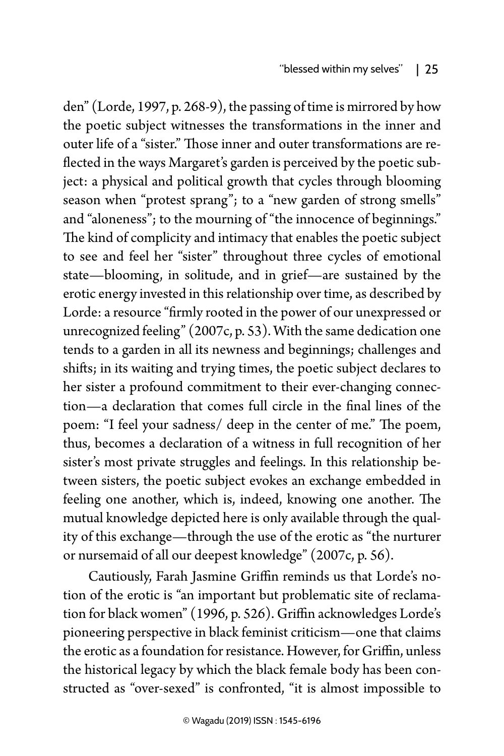den" (Lorde, 1997, p. 268-9), the passing of time is mirrored by how the poetic subject witnesses the transformations in the inner and outer life of a "sister." Those inner and outer transformations are reflected in the ways Margaret's garden is perceived by the poetic subject: a physical and political growth that cycles through blooming season when "protest sprang"; to a "new garden of strong smells" and "aloneness"; to the mourning of "the innocence of beginnings." The kind of complicity and intimacy that enables the poetic subject to see and feel her "sister" throughout three cycles of emotional state—blooming, in solitude, and in grief—are sustained by the erotic energy invested in this relationship over time, as described by Lorde: a resource "firmly rooted in the power of our unexpressed or unrecognized feeling" (2007c, p. 53). With the same dedication one tends to a garden in all its newness and beginnings; challenges and shifts; in its waiting and trying times, the poetic subject declares to her sister a profound commitment to their ever-changing connection—a declaration that comes full circle in the final lines of the poem: "I feel your sadness/ deep in the center of me." The poem, thus, becomes a declaration of a witness in full recognition of her sister's most private struggles and feelings. In this relationship between sisters, the poetic subject evokes an exchange embedded in feeling one another, which is, indeed, knowing one another. The mutual knowledge depicted here is only available through the quality of this exchange—through the use of the erotic as "the nurturer or nursemaid of all our deepest knowledge" (2007c, p. 56).

Cautiously, Farah Jasmine Griffin reminds us that Lorde's notion of the erotic is "an important but problematic site of reclamation for black women" (1996, p. 526). Griffin acknowledges Lorde's pioneering perspective in black feminist criticism—one that claims the erotic as a foundation for resistance. However, for Griffin, unless the historical legacy by which the black female body has been constructed as "over-sexed" is confronted, "it is almost impossible to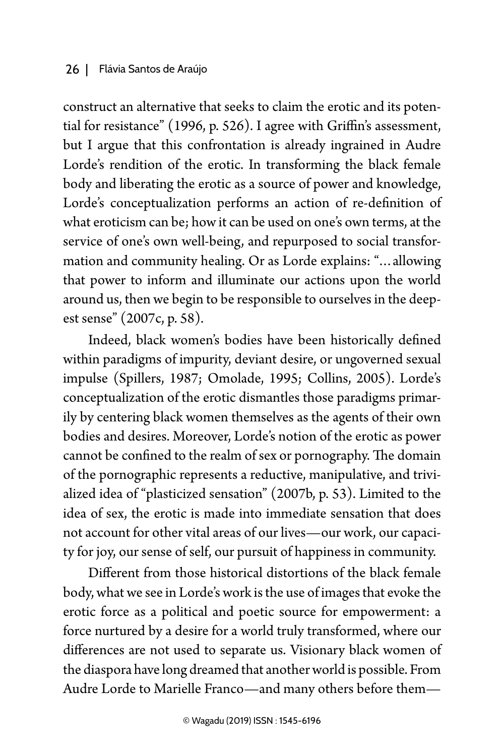construct an alternative that seeks to claim the erotic and its potential for resistance" (1996, p. 526). I agree with Griffin's assessment, but I argue that this confrontation is already ingrained in Audre Lorde's rendition of the erotic. In transforming the black female body and liberating the erotic as a source of power and knowledge, Lorde's conceptualization performs an action of re-definition of what eroticism can be; how it can be used on one's own terms, at the service of one's own well-being, and repurposed to social transformation and community healing. Or as Lorde explains: "…allowing that power to inform and illuminate our actions upon the world around us, then we begin to be responsible to ourselves in the deepest sense" (2007c, p. 58).

Indeed, black women's bodies have been historically defined within paradigms of impurity, deviant desire, or ungoverned sexual impulse (Spillers, 1987; Omolade, 1995; Collins, 2005). Lorde's conceptualization of the erotic dismantles those paradigms primarily by centering black women themselves as the agents of their own bodies and desires. Moreover, Lorde's notion of the erotic as power cannot be confined to the realm of sex or pornography. The domain of the pornographic represents a reductive, manipulative, and trivialized idea of "plasticized sensation" (2007b, p. 53). Limited to the idea of sex, the erotic is made into immediate sensation that does not account for other vital areas of our lives—our work, our capacity for joy, our sense of self, our pursuit of happiness in community.

Different from those historical distortions of the black female body, what we see in Lorde's work is the use of images that evoke the erotic force as a political and poetic source for empowerment: a force nurtured by a desire for a world truly transformed, where our differences are not used to separate us. Visionary black women of the diaspora have long dreamed that another world is possible. From Audre Lorde to Marielle Franco—and many others before them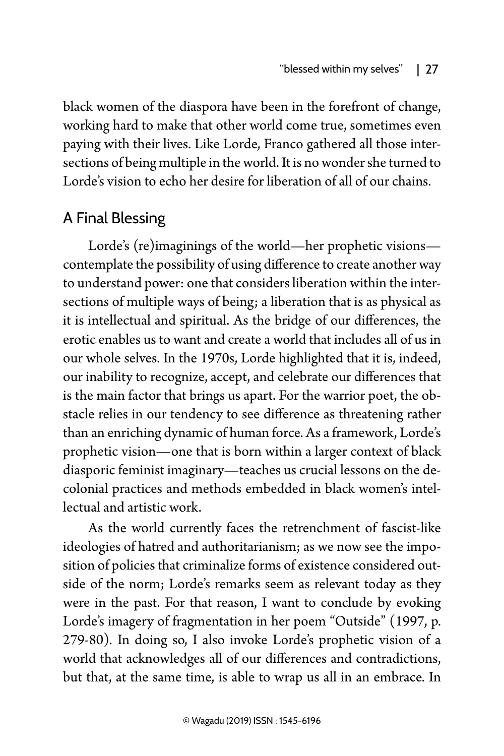black women of the diaspora have been in the forefront of change, working hard to make that other world come true, sometimes even paying with their lives. Like Lorde, Franco gathered all those intersections of being multiple in the world. It is no wonder she turned to Lorde's vision to echo her desire for liberation of all of our chains.

## A Final Blessing

Lorde's (re)imaginings of the world—her prophetic visions contemplate the possibility of using difference to create another way to understand power: one that considers liberation within the intersections of multiple ways of being; a liberation that is as physical as it is intellectual and spiritual. As the bridge of our differences, the erotic enables us to want and create a world that includes all of us in our whole selves. In the 1970s, Lorde highlighted that it is, indeed, our inability to recognize, accept, and celebrate our differences that is the main factor that brings us apart. For the warrior poet, the obstacle relies in our tendency to see difference as threatening rather than an enriching dynamic of human force. As a framework, Lorde's prophetic vision—one that is born within a larger context of black diasporic feminist imaginary—teaches us crucial lessons on the decolonial practices and methods embedded in black women's intellectual and artistic work.

As the world currently faces the retrenchment of fascist-like ideologies of hatred and authoritarianism; as we now see the imposition of policies that criminalize forms of existence considered outside of the norm; Lorde's remarks seem as relevant today as they were in the past. For that reason, I want to conclude by evoking Lorde's imagery of fragmentation in her poem "Outside" (1997, p. 279-80)*.* In doing so, I also invoke Lorde's prophetic vision of a world that acknowledges all of our differences and contradictions, but that, at the same time, is able to wrap us all in an embrace. In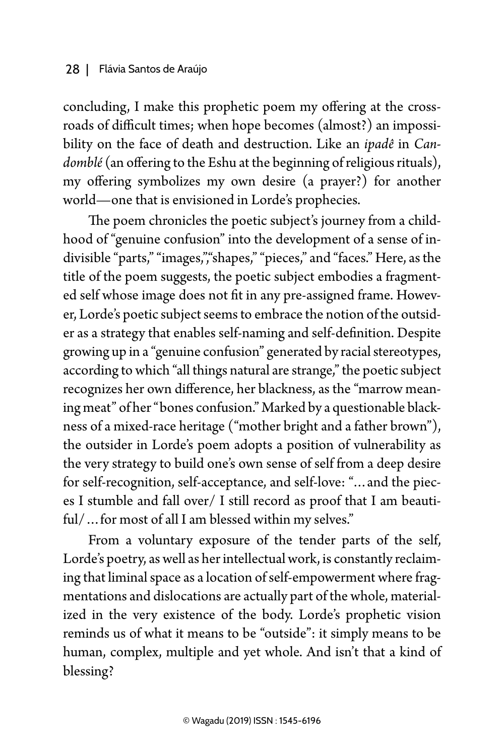concluding, I make this prophetic poem my offering at the crossroads of difficult times; when hope becomes (almost?) an impossibility on the face of death and destruction. Like an *ipadê* in *Candomblé* (an offering to the Eshu at the beginning of religious rituals), my offering symbolizes my own desire (a prayer?) for another world—one that is envisioned in Lorde's prophecies.

The poem chronicles the poetic subject's journey from a childhood of "genuine confusion" into the development of a sense of indivisible "parts," "images,","shapes," "pieces," and "faces." Here, as the title of the poem suggests, the poetic subject embodies a fragmented self whose image does not fit in any pre-assigned frame. However, Lorde's poetic subject seems to embrace the notion of the outsider as a strategy that enables self-naming and self-definition. Despite growing up in a "genuine confusion" generated by racial stereotypes, according to which "all things natural are strange," the poetic subject recognizes her own difference, her blackness, as the "marrow meaning meat" of her "bones confusion." Marked by a questionable blackness of a mixed-race heritage ("mother bright and a father brown"), the outsider in Lorde's poem adopts a position of vulnerability as the very strategy to build one's own sense of self from a deep desire for self-recognition, self-acceptance, and self-love: "…and the pieces I stumble and fall over/ I still record as proof that I am beautiful/…for most of all I am blessed within my selves."

From a voluntary exposure of the tender parts of the self, Lorde's poetry, as well as her intellectual work, is constantly reclaiming that liminal space as a location of self-empowerment where fragmentations and dislocations are actually part of the whole, materialized in the very existence of the body. Lorde's prophetic vision reminds us of what it means to be "outside": it simply means to be human, complex, multiple and yet whole. And isn't that a kind of blessing?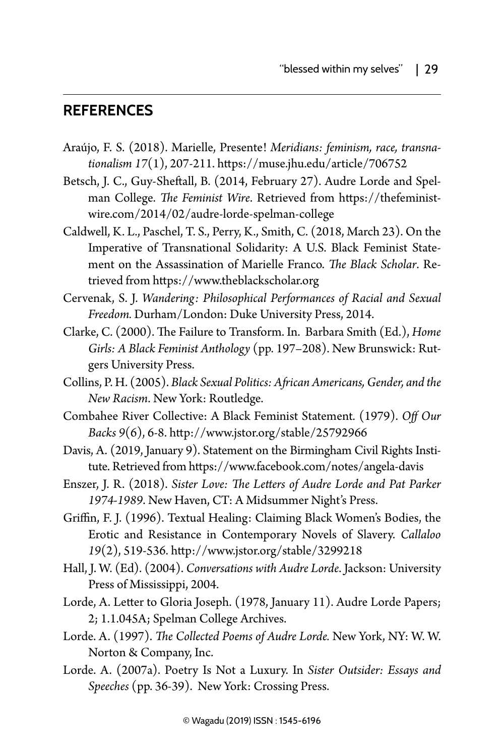#### **References**

- Araújo, F. S. (2018). Marielle, Presente! *Meridians: feminism, race, transnationalism 17*(1), 207-211. https://muse.jhu.edu/article/706752
- Betsch, J. C., Guy-Sheftall, B. (2014, February 27). Audre Lorde and Spelman College. *The Feminist Wire*. Retrieved from https://thefeministwire.com/2014/02/audre-lorde-spelman-college
- Caldwell, K. L., Paschel, T. S., Perry, K., Smith, C. (2018, March 23). On the Imperative of Transnational Solidarity: A U.S. Black Feminist Statement on the Assassination of Marielle Franco. *The Black Scholar*. Retrieved from https://www.theblackscholar.org
- Cervenak, S. J. *Wandering: Philosophical Performances of Racial and Sexual Freedom.* Durham/London: Duke University Press, 2014.
- Clarke, C. (2000). The Failure to Transform. In. Barbara Smith (Ed.), *Home Girls: A Black Feminist Anthology* (pp. 197–208). New Brunswick: Rutgers University Press.
- Collins, P. H. (2005). *Black Sexual Politics: African Americans, Gender, and the New Racism*. New York: Routledge.
- Combahee River Collective: A Black Feminist Statement*.* (1979). *Off Our Backs 9*(6), 6-8. http://www.jstor.org/stable/25792966
- Davis, A. (2019, January 9). Statement on the Birmingham Civil Rights Institute. Retrieved from https://www.facebook.com/notes/angela-davis
- Enszer, J. R. (2018). *Sister Love: The Letters of Audre Lorde and Pat Parker 1974-1989*. New Haven, CT: A Midsummer Night's Press.
- Griffin, F. J. (1996). Textual Healing: Claiming Black Women's Bodies, the Erotic and Resistance in Contemporary Novels of Slavery. *Callaloo 19*(2), 519-536. http://www.jstor.org/stable/3299218
- Hall, J. W. (Ed). (2004). *Conversations with Audre Lorde*. Jackson: University Press of Mississippi, 2004.
- Lorde, A. Letter to Gloria Joseph. (1978, January 11). Audre Lorde Papers; 2; 1.1.045A; Spelman College Archives.
- Lorde. A. (1997). *The Collected Poems of Audre Lorde.* New York, NY: W. W. Norton & Company, Inc.
- Lorde. A. (2007a). Poetry Is Not a Luxury. In *Sister Outsider: Essays and Speeches* (pp. 36-39). New York: Crossing Press.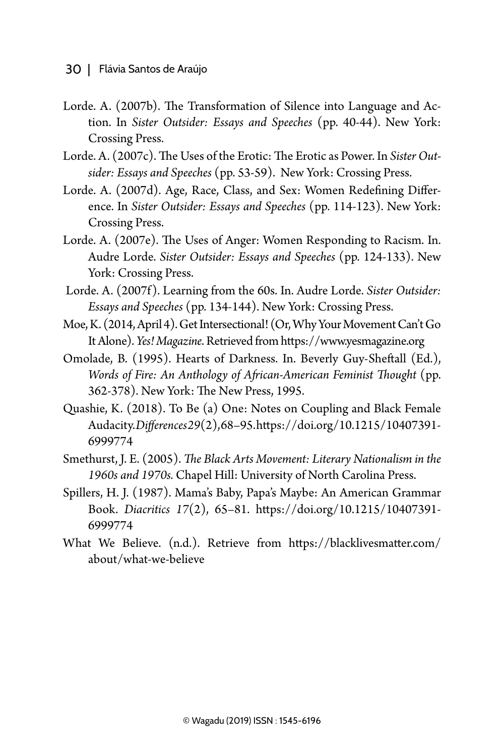- Lorde. A. (2007b). The Transformation of Silence into Language and Action. In *Sister Outsider: Essays and Speeches* (pp. 40-44). New York: Crossing Press.
- Lorde. A. (2007c). The Uses of the Erotic: The Erotic as Power. In *Sister Outsider: Essays and Speeches* (pp. 53-59). New York: Crossing Press.
- Lorde. A. (2007d). Age, Race, Class, and Sex: Women Redefining Difference. In *Sister Outsider: Essays and Speeches* (pp. 114-123). New York: Crossing Press.
- Lorde. A. (2007e). The Uses of Anger: Women Responding to Racism. In. Audre Lorde. *Sister Outsider: Essays and Speeches* (pp. 124-133). New York: Crossing Press.
- Lorde. A. (2007f). Learning from the 60s. In. Audre Lorde. *Sister Outsider: Essays and Speeches* (pp. 134-144). New York: Crossing Press.
- Moe, K. (2014, April 4). Get Intersectional! (Or, Why Your Movement Can't Go It Alone). *Yes! Magazine*. Retrieved from https://www.yesmagazine.org
- Omolade, B. (1995). Hearts of Darkness. In. Beverly Guy-Sheftall (Ed.), *Words of Fire: An Anthology of African-American Feminist Thought* (pp. 362-378). New York: The New Press, 1995.
- Quashie, K. (2018). To Be (a) One: Notes on Coupling and Black Female Audacity. *Differences29*(2), 68–95. https://doi.org/10.1215/10407391- 6999774
- Smethurst, J. E. (2005). *The Black Arts Movement: Literary Nationalism in the 1960s and 1970s.* Chapel Hill: University of North Carolina Press.
- Spillers, H. J. (1987). Mama's Baby, Papa's Maybe: An American Grammar Book. *Diacritics 17*(2), 65–81. https://doi.org/10.1215/10407391- 6999774
- What We Believe. (n.d.). Retrieve from [https://blacklivesmatter.com/](https://blacklivesmatter.com/about/what-we-believe) [about/what-we-believe](https://blacklivesmatter.com/about/what-we-believe)